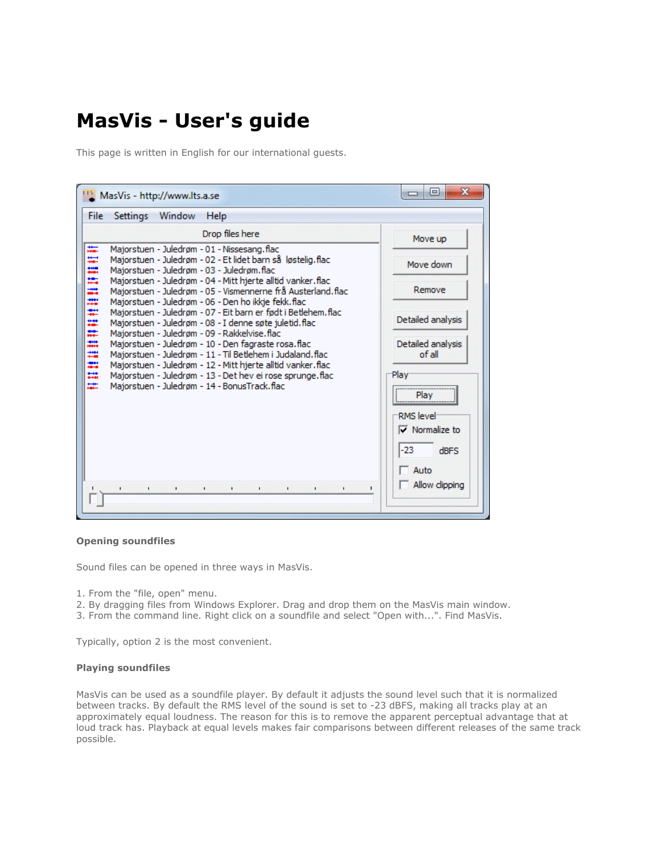# **MasVis - User's guide**

This page is written in English for our international guests.

| Ж<br>$\Box$<br>MasVis - http://www.lts.a.se                                                                                                                                                                   |                                                          |
|---------------------------------------------------------------------------------------------------------------------------------------------------------------------------------------------------------------|----------------------------------------------------------|
| File<br>Window<br>Settings<br>Help                                                                                                                                                                            |                                                          |
| Drop files here                                                                                                                                                                                               | Move up                                                  |
| ₩.<br>Majorstuen - Juledrøm - 01 - Nissesang.flac<br>Ħ<br>Majorstuen - Juledrøm - 02 - Et lidet barn så løstelig.flac<br>till<br>eini<br>Majorstuen - Juledrøm - 03 - Juledrøm.flac                           | Move down                                                |
| ×,<br>Majorstuen - Juledrøm - 04 - Mitt hjerte alltid vanker.flac<br>HHH<br>Majorstuen - Juledrøm - 05 - Vismennerne frå Austerland.flac<br>Majorstuen - Juledrøm - 06 - Den ho ikkje fekk. flac              | Remove                                                   |
| Majorstuen - Juledrøm - 07 - Eit barn er født i Betlehem.flac<br>₩<br>Majorstuen - Juledrøm - 08 - I denne søte juletid.flac<br>×<br>Majorstuen - Juledrøm - 09 - Rakkelvise. flac                            | Detailed analysis                                        |
| ana.<br>Haik<br>Majorstuen - Juledrøm - 10 - Den fagraste rosa. flac<br>₩<br>Majorstuen - Juledrøm - 11 - Til Betlehem i Judaland, flac<br>æ,<br>Majorstuen - Juledrøm - 12 - Mitt hjerte alltid vanker. flac | Detailed analysis<br>of all                              |
| ₩<br>Majorstuen - Juledrøm - 13 - Det hev ei rose sprunge. flac<br>罡<br>Majorstuen - Juledrøm - 14 - BonusTrack.flac                                                                                          | Plav<br>Play                                             |
|                                                                                                                                                                                                               | <b>RMS</b> level<br>$\nabla$ Normalize to                |
|                                                                                                                                                                                                               | $-23$<br>$d$ BFS                                         |
| $\blacksquare$<br>$\mathbf{I}$<br>$\blacksquare$<br>$\blacksquare$<br>٠<br>$\blacksquare$<br>$\blacksquare$                                                                                                   | Auto<br>Allow clipping<br>$\mathbf{I}$<br>$\blacksquare$ |
|                                                                                                                                                                                                               |                                                          |

## **Opening soundfiles**

Sound files can be opened in three ways in MasVis.

- 1. From the "file, open" menu.
- 2. By dragging files from Windows Explorer. Drag and drop them on the MasVis main window.
- 3. From the command line. Right click on a soundfile and select "Open with...". Find MasVis.

Typically, option 2 is the most convenient.

#### **Playing soundfiles**

MasVis can be used as a soundfile player. By default it adjusts the sound level such that it is normalized between tracks. By default the RMS level of the sound is set to -23 dBFS, making all tracks play at an approximately equal loudness. The reason for this is to remove the apparent perceptual advantage that at loud track has. Playback at equal levels makes fair comparisons between different releases of the same track possible.